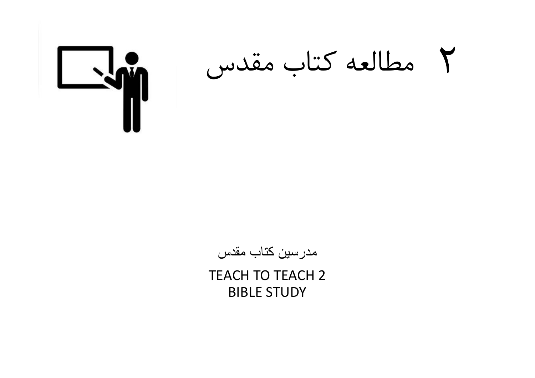مطالعه كتاب مقدس



مدرسين کتاب مقدس

TEACH TO TEACH 2 BIBLE STUDY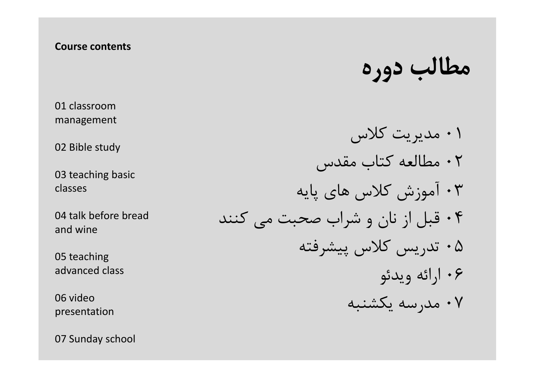### Course contents

01 classroom management

02 Bible study

03 teaching basic classes

04 talk before bread and wine

05 teaching advanced class

06 video presentation

07 Sunday school

مطالب دوره

 مديريت كلاس مطالعه كتاب مقدس آموزش كلاس هاي پايه قبل از نان و شراب صحبت مي كنند تدريس كلاس پيشرفته ارائه ويدئو مدرسه يكشنبه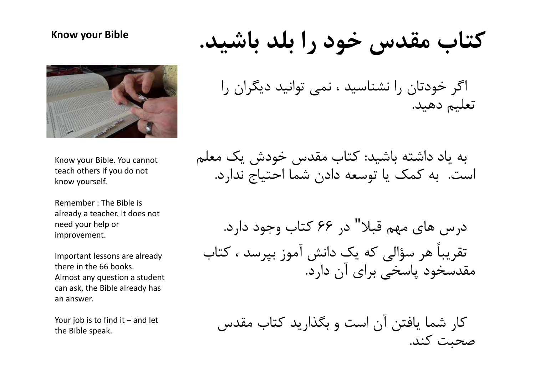#### Know your Bible



Know your Bible. You cannot teach others if you do not know yourself.

Remember : The Bible is already a teacher. It does not need your help or improvement.

Important lessons are already there in the 66 books. Almost any question a student can ask, the Bible already has an answer.

the Bible speak.

كتاب مقدس خود را بلد باشيد.

اگر خودتان را نشناسيد ، نمي توانيد ديگران را<br>تعليم دهيد.

به ياد داشته باشيد: كتاب مقدس خودش يک معلم<br>است. به كمک يا توسعه دادن شما احتياج ندارد.

درس هاى مهم قبلا" در ۶۶ كتاب وجود دارد. تقريباً هر سؤالي كه يك دانش آموز بپرسد ، كتاب مقدسخود پاسخي براي آن دارد. know your blue. It do and the sift you do not<br>teach others if you do not<br>know yourself.<br>Remember : The Bible is<br>already a teacher. It does not<br>meed your help or<br>improvement.<br>Inportant lessons are already<br> $\sim 2$  if  $\sim 2$ 

كار شما يافتن آن است و بگذاريد كتاب مقدس صحبت كند.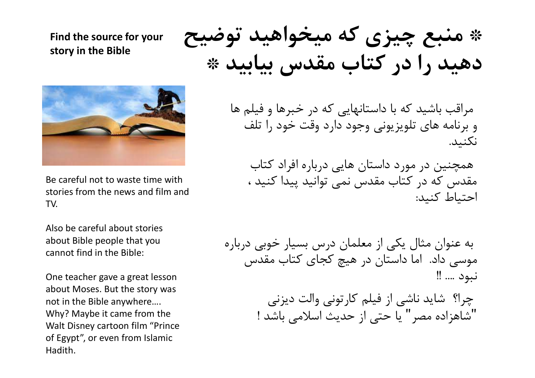# Find the source for your story in the Bible



Be careful not to waste time with stories from the news and film and TV.

Also be careful about stories about Bible people that you cannot find in the Bible:

One teacher gave a great lesson about Moses. But the story was not in the Bible anywhere…. Why? Maybe it came from the Walt Disney cartoon film "Prince of Egypt", or even from Islamic Hadith.

\* منبع چيزي كه ميخواهيد توضيح دهيد را در كتاب مقدس بيابيد \*

مراقب باشيد كه با داستانهايي كه در خبرها و فيلم ها و برنامه هاي تلويزيوني وجود دارد وقت خود را تلف نكنيد.

همچنين در مورد داستان هايي درباره افراد كتاب مقدس كه در كتاب مقدس نمي توانيد پيدا كنيد ، احتياط كنيد:

به عنوان مثال يكي از معلمان درس بسيار خوبي درباره موسي داد. اما داستان در هيچ كجاي كتاب مقدس نبود .... !!

> چرا؟ شايد ناشي از فيلم كارتوني والت ديزني "شاهزاده مصر" يا حتي از حديث اسلامي باشد !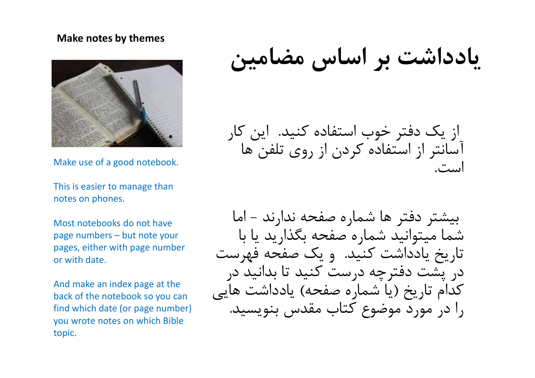### Make notes by themes



Make use of a good notebook.

This is easier to manage than notes on phones.

Most notebooks do not have pages, either with page number or with date.

And make an index page at the back of the notebook so you can find which date (or page number) you wrote notes on which Bible topic.

يادداشت بر اساس مضامين

از يك دفتر خوب استفاده كنيد. اين كار آسانتر از استفاده كردن از روي تلفن ها است.

بيشتر دفتر ها شماره صفحه ندارند - اما شما ميتوانيد شماره صفحه بگذاريد يا با تاريخ يادداشت كنيد. و يك صفحه فهرست در پشت دفترچه درست كنيد تا بدانيد در كدام تاريخ (يا شماره صفحه) يادداشت هايي را در مورد موضوع كتاب مقدس بنويسيد.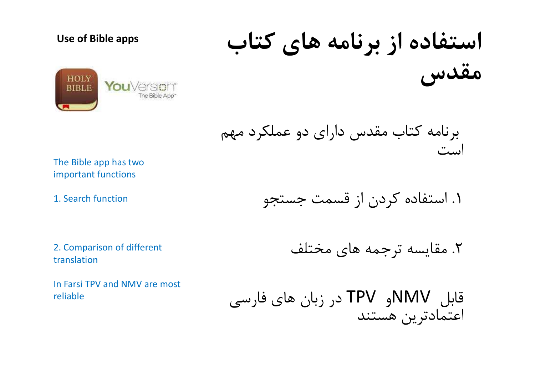## Use of Bible apps



استفاده از برنامه هاي كتاب مقدس

برنامه كتاب مقدس داراي دو عملكرد مهم است

The Bible app has two important functions

1. Search function

.١ استفاده كردن از قسمت جستجو

2. Comparison of different translation

In Farsi TPV and NMV are most reliable

.٢ مقايسه ترجمه هاي مختلف

قابل NMVو TPV در زبان هاي فارسي اعتمادترين هستند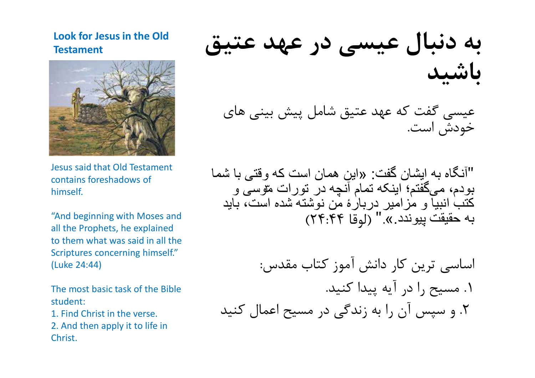# Look for Jesus in the Old **Testament**



Jesus said that Old Testament contains foreshadows of himself.

"And beginning with Moses and all the Prophets, he explained to them what was said in all the Scriptures concerning himself." (Luke 24:44)

The most basic task of the Bible student:

1. Find Christ in the verse.

2. And then apply it to life in Christ.

به دنبال عيسي در عهد عتيق باشيد

عيسي گفت كه عهد عتيق شامل پيش بيني هاي خودش است.

"آنگاه به ايشان گفت: «اين همان است که وقتی با شما بودم، میگفتم؛ ابنکه تمام آنچه در تورات متوسی و<br>کتب انبیا و مزامیر دربارۀ من نوشته شده است، باید به حقيقت پيوندد.»." (لوقا ٢٤:٤٤)

اساسی ترین کار دانش آموز کتاب مقدس:<br>١. مسیح ,ا در آیه پیدا کنید. .٢ و سپس آن را به زندگي در مسيح اعمال كنيد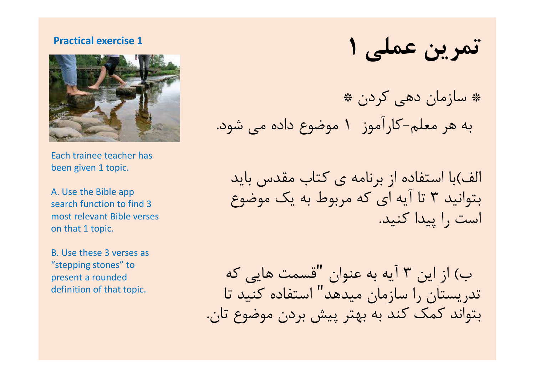### Practical exercise 1



Each trainee teacher has been given 1 topic.

A. Use the Bible app search function to find 3 most relevant Bible verses on that 1 topic.

B. Use these 3 verses as "stepping stones" to present a rounded definition of that topic.

تمرين عملي ١

\* سازمان دهي كردن \* به هر معلم-كارآموز ١ موضوع داده مي شود.

الف)با استفاده از برنامه ي كتاب مقدس بايد بتوانيد ٣ تا آيه اي كه مربوط به يک موضوع<br>است ,ا پيدا كنيد.

ب) از اين ٣ آيه به عنوان "قسمت هايي كه تدريستان را سازمان ميدهد" استفاده كنيد تا بتواند كمك كند به بهتر پيش بردن موضوع تان.